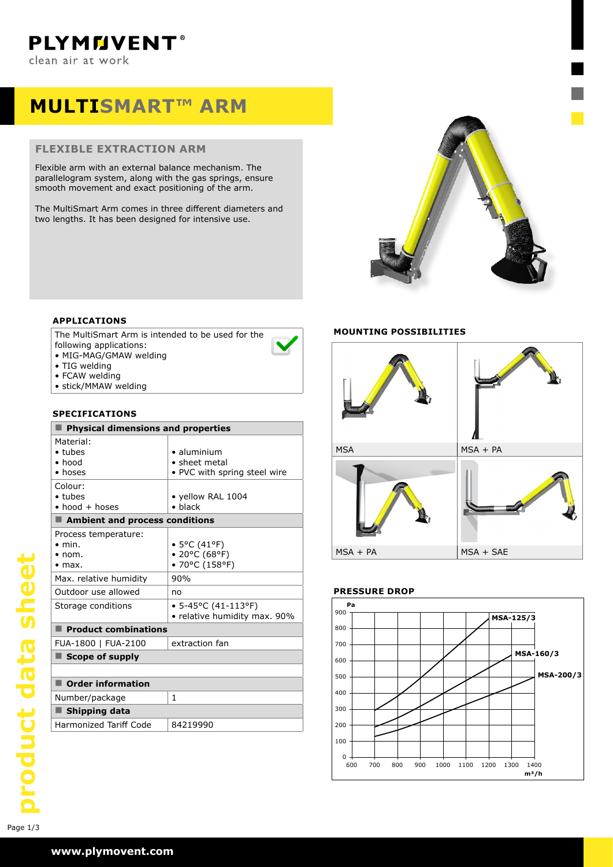# **MULTISMART™ ARM**

#### **FLEXIBLE EXTRACTION ARM**

Flexible arm with an external balance mechanism. The parallelogram system, along with the gas springs, ensure smooth movement and exact positioning of the arm.

The MultiSmart Arm comes in three different diameters and two lengths. It has been designed for intensive use.



### **APPLICATIONS**

The MultiSmart Arm is intended to be used for the following applications:

- MIG-MAG/GMAW welding
- TIG welding
- FCAW welding
- stick/MMAW welding

#### **SPECIFICATIONS**

| <b>Physical dimensions and properties</b>                                  |                                                                      |  |  |  |  |  |
|----------------------------------------------------------------------------|----------------------------------------------------------------------|--|--|--|--|--|
| Material:<br>$\bullet$ tubes<br>$\bullet$ hood<br>• hoses                  | $\bullet$ aluminium<br>• sheet metal<br>• PVC with spring steel wire |  |  |  |  |  |
| Colour:<br>$\bullet$ tubes<br>$\bullet$ hood $+$ hoses                     | • yellow RAL 1004<br>$\bullet$ black                                 |  |  |  |  |  |
| Ambient and process conditions                                             |                                                                      |  |  |  |  |  |
| Process temperature:<br>$\bullet$ min.<br>$\bullet$ nom.<br>$\bullet$ max. | $\bullet$ 5°C (41°F)<br>• 20°C (68°F)<br>• 70°C (158°F)              |  |  |  |  |  |
| Max. relative humidity                                                     | 90%                                                                  |  |  |  |  |  |
| Outdoor use allowed                                                        | no                                                                   |  |  |  |  |  |
| Storage conditions                                                         | $\bullet$ 5-45°C (41-113°F)<br>• relative humidity max. 90%          |  |  |  |  |  |
| $\blacksquare$ Product combinations                                        |                                                                      |  |  |  |  |  |
| FUA-1800   FUA-2100                                                        | extraction fan                                                       |  |  |  |  |  |
| $\blacksquare$ Scope of supply                                             |                                                                      |  |  |  |  |  |
|                                                                            |                                                                      |  |  |  |  |  |
| <b>Order information</b>                                                   |                                                                      |  |  |  |  |  |
| Number/package                                                             | 1                                                                    |  |  |  |  |  |
| Shipping data                                                              |                                                                      |  |  |  |  |  |
| <b>Harmonized Tariff Code</b>                                              | 84219990                                                             |  |  |  |  |  |

### **MOUNTING POSSIBILITIES**



## **PRESSURE DROP**

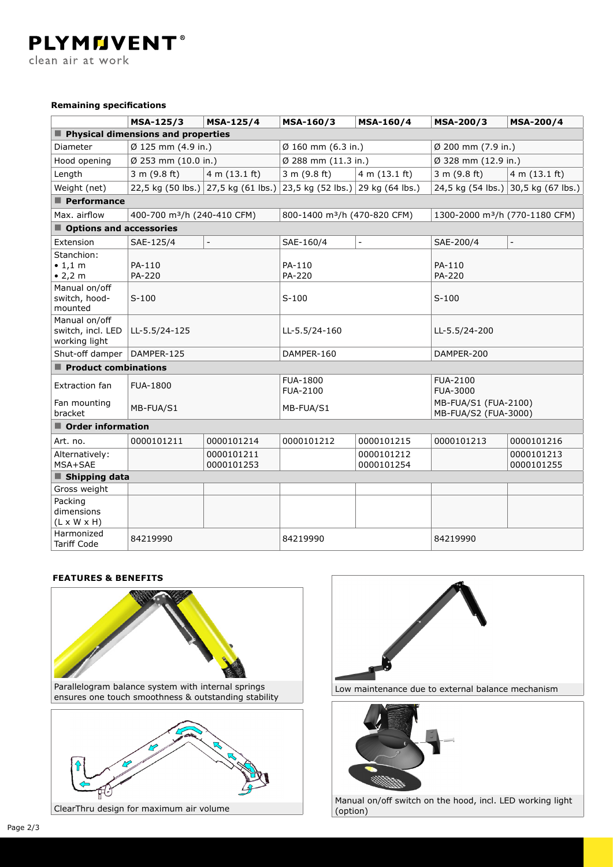clean air at work

#### **Remaining specifications**

**PLYMMVENT®** 

|                                                     | MSA-125/3                               | MSA-125/4                | MSA-160/3                                                             | <b>MSA-160/4</b>         | MSA-200/3                                    | <b>MSA-200/4</b>                    |  |  |
|-----------------------------------------------------|-----------------------------------------|--------------------------|-----------------------------------------------------------------------|--------------------------|----------------------------------------------|-------------------------------------|--|--|
| Physical dimensions and properties                  |                                         |                          |                                                                       |                          |                                              |                                     |  |  |
| Diameter                                            | Ø 125 mm (4.9 in.)                      |                          | $\emptyset$ 160 mm (6.3 in.)                                          |                          | Ø 200 mm (7.9 in.)                           |                                     |  |  |
| Hood opening                                        | Ø 253 mm (10.0 in.)                     |                          | Ø 288 mm (11.3 in.)                                                   |                          | Ø 328 mm (12.9 in.)                          |                                     |  |  |
| Length                                              | 3 m (9.8 ft)                            | 4 m (13.1 ft)            | 3 m (9.8 ft)                                                          | 4 m (13.1 ft)            | 3 m (9.8 ft)                                 | 4 m (13.1 ft)                       |  |  |
| Weight (net)                                        |                                         |                          | 22,5 kg (50 lbs.) 27,5 kg (61 lbs.) 23,5 kg (52 lbs.) 29 kg (64 lbs.) |                          |                                              | 24,5 kg (54 lbs.) 30,5 kg (67 lbs.) |  |  |
| $\blacksquare$ Performance                          |                                         |                          |                                                                       |                          |                                              |                                     |  |  |
| Max. airflow                                        | 400-700 m <sup>3</sup> /h (240-410 CFM) |                          | 800-1400 m <sup>3</sup> /h (470-820 CFM)                              |                          | 1300-2000 m <sup>3</sup> /h (770-1180 CFM)   |                                     |  |  |
| Options and accessories                             |                                         |                          |                                                                       |                          |                                              |                                     |  |  |
| Extension                                           | SAE-125/4                               | $\overline{\phantom{a}}$ | SAE-160/4                                                             | $\overline{a}$           | SAE-200/4                                    | $\equiv$                            |  |  |
| Stanchion:<br>$\bullet$ 1,1 m<br>• 2,2 m            | PA-110<br>PA-220                        |                          | PA-110<br>PA-220                                                      |                          | PA-110<br>PA-220                             |                                     |  |  |
| Manual on/off<br>switch, hood-<br>mounted           | $S-100$                                 |                          | $S-100$                                                               |                          | $S-100$                                      |                                     |  |  |
| Manual on/off<br>switch, incl. LED<br>working light | LL-5.5/24-125                           |                          | LL-5.5/24-160                                                         |                          | LL-5.5/24-200                                |                                     |  |  |
| Shut-off damper                                     | DAMPER-125                              |                          | DAMPER-160                                                            |                          | DAMPER-200                                   |                                     |  |  |
| Product combinations                                |                                         |                          |                                                                       |                          |                                              |                                     |  |  |
| Extraction fan                                      | <b>FUA-1800</b>                         |                          | <b>FUA-1800</b><br><b>FUA-2100</b>                                    |                          | <b>FUA-2100</b><br><b>FUA-3000</b>           |                                     |  |  |
| Fan mounting<br>bracket                             | MB-FUA/S1                               |                          | MB-FUA/S1                                                             |                          | MB-FUA/S1 (FUA-2100)<br>MB-FUA/S2 (FUA-3000) |                                     |  |  |
| $\blacksquare$ Order information                    |                                         |                          |                                                                       |                          |                                              |                                     |  |  |
| Art. no.                                            | 0000101211                              | 0000101214               | 0000101212                                                            | 0000101215               | 0000101213                                   | 0000101216                          |  |  |
| Alternatively:<br>MSA+SAE                           |                                         | 0000101211<br>0000101253 |                                                                       | 0000101212<br>0000101254 |                                              | 0000101213<br>0000101255            |  |  |
| ■ Shipping data                                     |                                         |                          |                                                                       |                          |                                              |                                     |  |  |
| Gross weight                                        |                                         |                          |                                                                       |                          |                                              |                                     |  |  |
| Packing<br>dimensions<br>$(L \times W \times H)$    |                                         |                          |                                                                       |                          |                                              |                                     |  |  |
| Harmonized<br><b>Tariff Code</b>                    | 84219990                                |                          | 84219990                                                              |                          | 84219990                                     |                                     |  |  |

#### **FEATURES & BENEFITS**